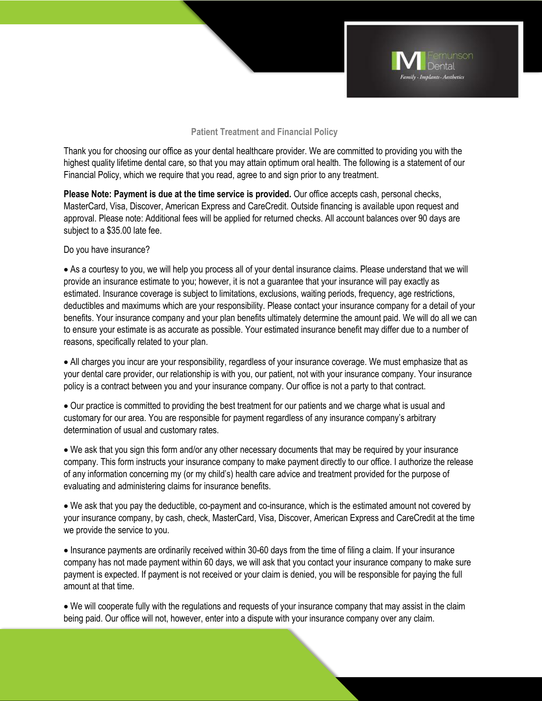

## **Patient Treatment and Financial Policy**

Thank you for choosing our office as your dental healthcare provider. We are committed to providing you with the highest quality lifetime dental care, so that you may attain optimum oral health. The following is a statement of our Financial Policy, which we require that you read, agree to and sign prior to any treatment.

**Please Note: Payment is due at the time service is provided.** Our office accepts cash, personal checks, MasterCard, Visa, Discover, American Express and CareCredit. Outside financing is available upon request and approval. Please note: Additional fees will be applied for returned checks. All account balances over 90 days are subject to a \$35.00 late fee.

Do you have insurance?

 As a courtesy to you, we will help you process all of your dental insurance claims. Please understand that we will provide an insurance estimate to you; however, it is not a guarantee that your insurance will pay exactly as estimated. Insurance coverage is subject to limitations, exclusions, waiting periods, frequency, age restrictions, deductibles and maximums which are your responsibility. Please contact your insurance company for a detail of your benefits. Your insurance company and your plan benefits ultimately determine the amount paid. We will do all we can to ensure your estimate is as accurate as possible. Your estimated insurance benefit may differ due to a number of reasons, specifically related to your plan.

 All charges you incur are your responsibility, regardless of your insurance coverage. We must emphasize that as your dental care provider, our relationship is with you, our patient, not with your insurance company. Your insurance policy is a contract between you and your insurance company. Our office is not a party to that contract.

 Our practice is committed to providing the best treatment for our patients and we charge what is usual and customary for our area. You are responsible for payment regardless of any insurance company's arbitrary determination of usual and customary rates.

 We ask that you sign this form and/or any other necessary documents that may be required by your insurance company. This form instructs your insurance company to make payment directly to our office. I authorize the release of any information concerning my (or my child's) health care advice and treatment provided for the purpose of evaluating and administering claims for insurance benefits.

 We ask that you pay the deductible, co-payment and co-insurance, which is the estimated amount not covered by your insurance company, by cash, check, MasterCard, Visa, Discover, American Express and CareCredit at the time we provide the service to you.

 Insurance payments are ordinarily received within 30-60 days from the time of filing a claim. If your insurance company has not made payment within 60 days, we will ask that you contact your insurance company to make sure payment is expected. If payment is not received or your claim is denied, you will be responsible for paying the full amount at that time.

 We will cooperate fully with the regulations and requests of your insurance company that may assist in the claim being paid. Our office will not, however, enter into a dispute with your insurance company over any claim.